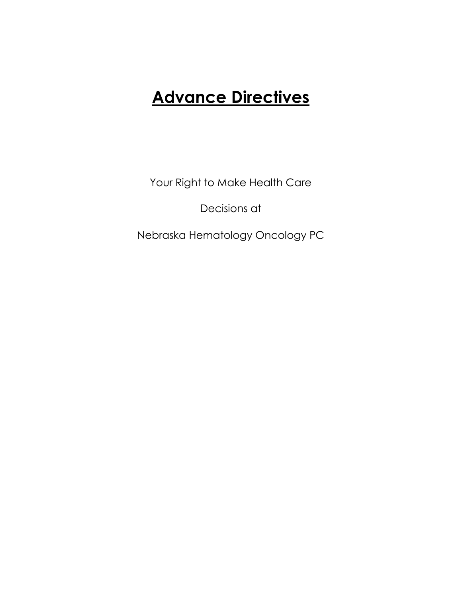# **Advance Directives**

Your Right to Make Health Care

Decisions at

Nebraska Hematology Oncology PC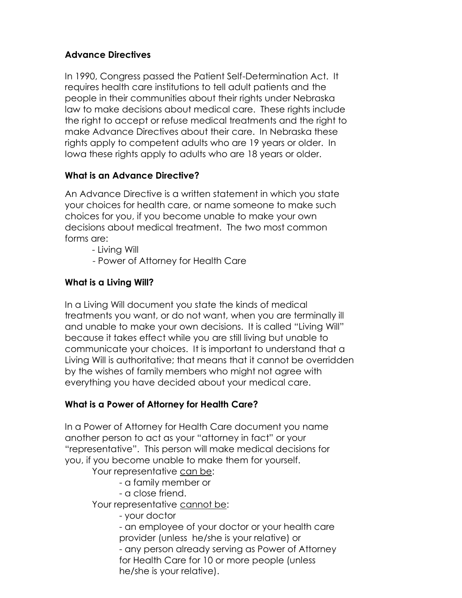## **Advance Directives**

In 1990, Congress passed the Patient Self-Determination Act. It requires health care institutions to tell adult patients and the people in their communities about their rights under Nebraska law to make decisions about medical care. These rights include the right to accept or refuse medical treatments and the right to make Advance Directives about their care. In Nebraska these rights apply to competent adults who are 19 years or older. In Iowa these rights apply to adults who are 18 years or older.

## **What is an Advance Directive?**

An Advance Directive is a written statement in which you state your choices for health care, or name someone to make such choices for you, if you become unable to make your own decisions about medical treatment. The two most common forms are:

- Living Will

- Power of Attorney for Health Care

## **What is a Living Will?**

In a Living Will document you state the kinds of medical treatments you want, or do not want, when you are terminally ill and unable to make your own decisions. It is called "Living Will" because it takes effect while you are still living but unable to communicate your choices. It is important to understand that a Living Will is authoritative; that means that it cannot be overridden by the wishes of family members who might not agree with everything you have decided about your medical care.

## **What is a Power of Attorney for Health Care?**

In a Power of Attorney for Health Care document you name another person to act as your "attorney in fact" or your "representative". This person will make medical decisions for you, if you become unable to make them for yourself.

Your representative can be:

- a family member or
- a close friend.

Your representative cannot be:

- your doctor

- an employee of your doctor or your health care provider (unless he/she is your relative) or - any person already serving as Power of Attorney for Health Care for 10 or more people (unless he/she is your relative).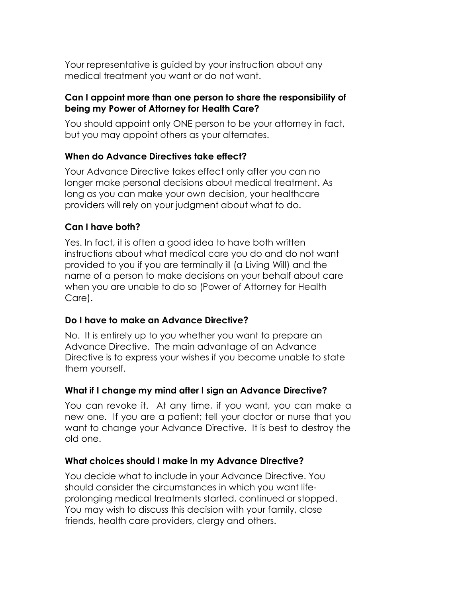Your representative is guided by your instruction about any medical treatment you want or do not want.

#### **Can I appoint more than one person to share the responsibility of being my Power of Attorney for Health Care?**

You should appoint only ONE person to be your attorney in fact, but you may appoint others as your alternates.

## **When do Advance Directives take effect?**

Your Advance Directive takes effect only after you can no longer make personal decisions about medical treatment. As long as you can make your own decision, your healthcare providers will rely on your judgment about what to do.

## **Can I have both?**

Yes. In fact, it is often a good idea to have both written instructions about what medical care you do and do not want provided to you if you are terminally ill (a Living Will) and the name of a person to make decisions on your behalf about care when you are unable to do so (Power of Attorney for Health Care).

## **Do I have to make an Advance Directive?**

No. It is entirely up to you whether you want to prepare an Advance Directive. The main advantage of an Advance Directive is to express your wishes if you become unable to state them yourself.

## **What if I change my mind afterI sign an Advance Directive?**

You can revoke it. At any time, if you want, you can make a new one. If you are a patient; tell your doctor or nurse that you want to change your Advance Directive. It is best to destroy the old one.

## **What choices should I make in my Advance Directive?**

You decide what to include in your Advance Directive. You should consider the circumstances in which you want life prolonging medical treatments started, continued or stopped. You may wish to discuss this decision with your family, close friends, health care providers, clergy and others.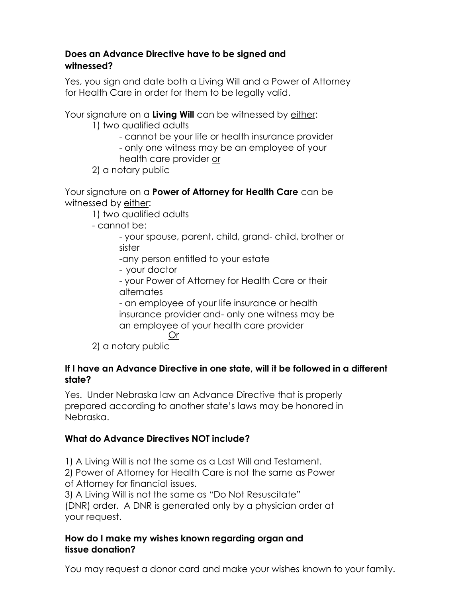#### **Does an Advance Directive have to be signed and witnessed?**

Yes, you sign and date both a Living Will and a Power of Attorney for Health Care in order for them to be legally valid.

Your signature on a **Living Will** can be witnessed by either:

1) two qualified adults

- cannot be your life or health insurance provider

- only one witness may be an employee of your

health care provider or

2) a notary public

Your signature on a **Power of Attorney for Health Care** can be witnessed by either:

1) two qualified adults

- cannot be:

- your spouse, parent, child, grand- child, brother or sister

-any person entitled to your estate

- your doctor

- your Power of Attorney for Health Care or their alternates

- an employee of your life insurance or health insurance provider and- only one witness may be an employee of your health care provider Or

2) a notary public

#### **If I have an Advance Directive in one state, will it be followed in a different state?**

Yes. Under Nebraska law an Advance Directive that is properly prepared according to another state's laws may be honored in Nebraska.

## **What do Advance Directives NOT include?**

1) A Living Will is not the same as a Last Will and Testament.

2) Power of Attorney for Health Care is not the same as Power of Attorney for financial issues.

3) A Living Will is not the same as "Do Not Resuscitate"

(DNR) order. A DNR is generated only by a physician order at your request.

#### **How do I make my wishes known regarding organ and tissue donation?**

You may request a donor card and make your wishes known to your family.